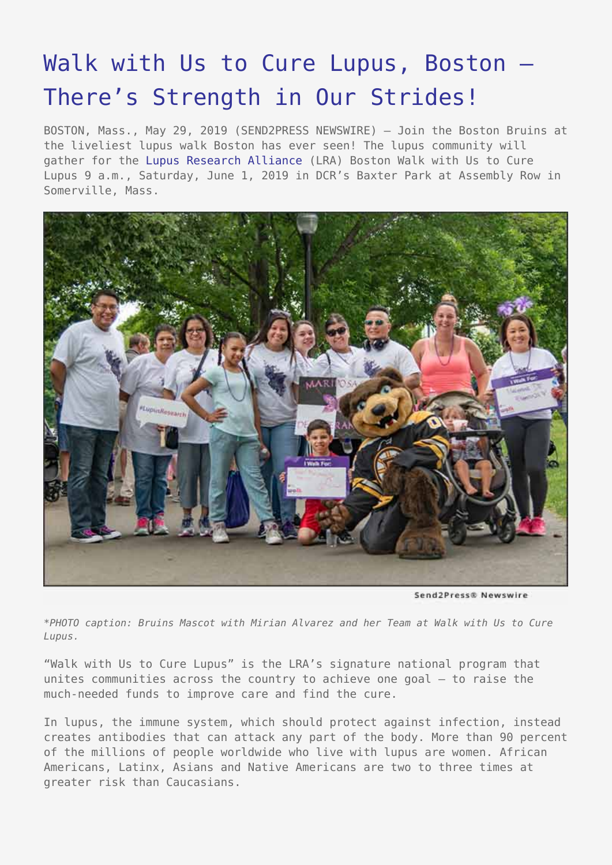## [Walk with Us to Cure Lupus, Boston –](https://www.send2press.com/wire/walk-with-us-to-cure-lupus-boston-theres-strength-in-our-strides/) [There's Strength in Our Strides!](https://www.send2press.com/wire/walk-with-us-to-cure-lupus-boston-theres-strength-in-our-strides/)

BOSTON, Mass., May 29, 2019 (SEND2PRESS NEWSWIRE) — Join the Boston Bruins at the liveliest lupus walk Boston has ever seen! The lupus community will gather for the [Lupus Research Alliance](https://www.lupusresearch.org/) (LRA) Boston Walk with Us to Cure Lupus 9 a.m., Saturday, June 1, 2019 in DCR's Baxter Park at Assembly Row in Somerville, Mass.



Send2Press® Newswire

*\*PHOTO caption: Bruins Mascot with Mirian Alvarez and her Team at Walk with Us to Cure Lupus.*

"Walk with Us to Cure Lupus" is the LRA's signature national program that unites communities across the country to achieve one goal – to raise the much-needed funds to improve care and find the cure.

In lupus, the immune system, which should protect against infection, instead creates antibodies that can attack any part of the body. More than 90 percent of the millions of people worldwide who live with lupus are women. African Americans, Latinx, Asians and Native Americans are two to three times at greater risk than Caucasians.